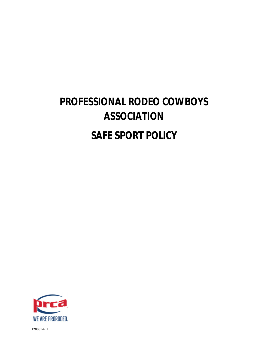# **PROFESSIONAL RODEO COWBOYS ASSOCIATION SAFE SPORT POLICY**

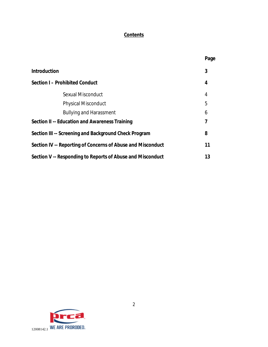## **Contents**

|                                                             | Page |
|-------------------------------------------------------------|------|
| <b>Introduction</b>                                         | 3    |
| <b>Section I - Prohibited Conduct</b>                       | 4    |
| <b>Sexual Misconduct</b>                                    | 4    |
| <b>Physical Misconduct</b>                                  | 5    |
| <b>Bullying and Harassment</b>                              | 6    |
| <b>Section II -- Education and Awareness Training</b>       | 7    |
| Section III -- Screening and Background Check Program       | 8    |
| Section IV -- Reporting of Concerns of Abuse and Misconduct | 11   |
| Section V -- Responding to Reports of Abuse and Misconduct  | 13   |

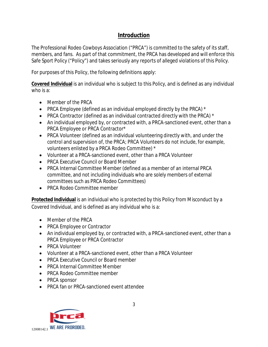## **Introduction**

The Professional Rodeo Cowboys Association ("PRCA") is committed to the safety of its staff, members, and fans. As part of that commitment, the PRCA has developed and will enforce this Safe Sport Policy ("Policy") and takes seriously any reports of alleged violations of this Policy.

For purposes of this Policy, the following definitions apply:

**Covered Individual** is an individual who is subject to this Policy, and is defined as any individual who is a:

- Member of the PRCA
- PRCA Employee (defined as an individual employed directly by the PRCA)  $*$
- PRCA Contractor (defined as an individual contracted directly with the PRCA)  $*$
- An individual employed by, or contracted with, a PRCA-sanctioned event, other than a PRCA Employee or PRCA Contractor\*
- PRCA Volunteer (defined as an individual volunteering directly with, and under the control and supervision of, the PRCA; PRCA Volunteers do not include, for example, volunteers enlisted by a PRCA Rodeo Committee) \*
- Volunteer at a PRCA-sanctioned event, other than a PRCA Volunteer
- PRCA Executive Council or Board Member
- PRCA Internal Committee Member (defined as a member of an internal PRCA committee, and not including individuals who are solely members of external committees such as PRCA Rodeo Committees)
- PRCA Rodeo Committee member

**Protected Individual** is an individual who is protected by this Policy from Misconduct by a Covered Individual, and is defined as any individual who is a:

- Member of the PRCA
- PRCA Employee or Contractor
- An individual employed by, or contracted with, a PRCA-sanctioned event, other than a PRCA Employee or PRCA Contractor
- PRCA Volunteer
- Volunteer at a PRCA-sanctioned event, other than a PRCA Volunteer
- PRCA Executive Council or Board member
- PRCA Internal Committee Member
- PRCA Rodeo Committee member
- PRCA sponsor
- PRCA fan or PRCA-sanctioned event attendee

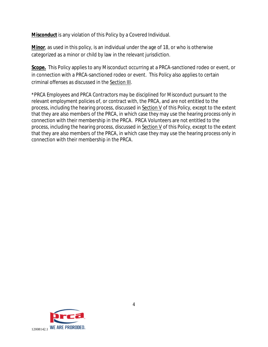**Misconduct** is any violation of this Policy by a Covered Individual.

**Minor**, as used in this policy, is an individual under the age of 18, or who is otherwise categorized as a minor or child by law in the relevant jurisdiction.

**Scope.** This Policy applies to any Misconduct occurring at a PRCA-sanctioned rodeo or event, or in connection with a PRCA-sanctioned rodeo or event. This Policy also applies to certain criminal offenses as discussed in the Section III.

\*PRCA Employees and PRCA Contractors may be disciplined for Misconduct pursuant to the relevant employment policies of, or contract with, the PRCA, and are not entitled to the process, including the hearing process, discussed in Section V of this Policy, except to the extent that they are also members of the PRCA, in which case they may use the hearing process only in connection with their membership in the PRCA. PRCA Volunteers are not entitled to the process, including the hearing process, discussed in Section V of this Policy, except to the extent that they are also members of the PRCA, in which case they may use the hearing process only in connection with their membership in the PRCA.

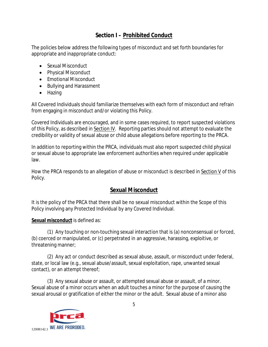## **Section I – Prohibited Conduct**

The policies below address the following types of misconduct and set forth boundaries for appropriate and inappropriate conduct:

- Sexual Misconduct
- Physical Misconduct
- Emotional Misconduct
- Bullying and Harassment
- Hazing

All Covered Individuals should familiarize themselves with each form of misconduct and refrain from engaging in misconduct and/or violating this Policy.

Covered Individuals are encouraged, and in some cases required, to report suspected violations of this Policy, as described in Section IV. Reporting parties should not attempt to evaluate the credibility or validity of sexual abuse or child abuse allegations before reporting to the PRCA.

In addition to reporting within the PRCA, individuals must also report suspected child physical or sexual abuse to appropriate law enforcement authorities when required under applicable law.

How the PRCA responds to an allegation of abuse or misconduct is described in Section V of this Policy.

## **Sexual Misconduct**

It is the policy of the PRCA that there shall be no sexual misconduct within the Scope of this Policy involving any Protected Individual by any Covered Individual.

### **Sexual misconduct** is defined as:

(1) Any touching or non-touching sexual interaction that is (a) nonconsensual or forced, (b) coerced or manipulated, or (c) perpetrated in an aggressive, harassing, exploitive, or threatening manner;

(2) Any act or conduct described as sexual abuse, assault, or misconduct under federal, state, or local law (e.g., sexual abuse/assault, sexual exploitation, rape, unwanted sexual contact), or an attempt thereof;

(3) Any sexual abuse or assault, or attempted sexual abuse or assault, of a minor. Sexual abuse of a minor occurs when an adult touches a minor for the purpose of causing the sexual arousal or gratification of either the minor or the adult. Sexual abuse of a minor also

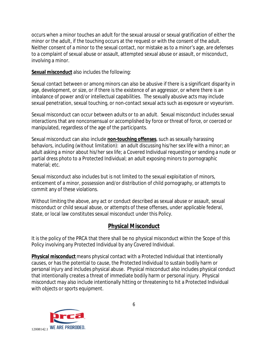occurs when a minor touches an adult for the sexual arousal or sexual gratification of either the minor or the adult, if the touching occurs at the request or with the consent of the adult. Neither consent of a minor to the sexual contact, nor mistake as to a minor's age, are defenses to a complaint of sexual abuse or assault, attempted sexual abuse or assault, or misconduct, involving a minor.

**Sexual misconduct** also includes the following:

Sexual contact between or among minors can also be abusive if there is a significant disparity in age, development, or size, or if there is the existence of an aggressor, or where there is an imbalance of power and/or intellectual capabilities. The sexually abusive acts may include sexual penetration, sexual touching, or non-contact sexual acts such as exposure or voyeurism.

Sexual misconduct can occur between adults or to an adult. Sexual misconduct includes sexual interactions that are nonconsensual or accomplished by force or threat of force, or coerced or manipulated, regardless of the age of the participants.

Sexual misconduct can also include **non-touching offenses**, such as sexually harassing behaviors, including (without limitation): an adult discussing his/her sex life with a minor; an adult asking a minor about his/her sex life; a Covered Individual requesting or sending a nude or partial dress photo to a Protected Individual; an adult exposing minors to pornographic material; etc.

Sexual misconduct also includes but is not limited to the sexual exploitation of minors, enticement of a minor, possession and/or distribution of child pornography, or attempts to commit any of these violations.

Without limiting the above, any act or conduct described as sexual abuse or assault, sexual misconduct or child sexual abuse, or attempts of these offenses, under applicable federal, state, or local law constitutes sexual misconduct under this Policy.

# **Physical Misconduct**

It is the policy of the PRCA that there shall be no physical misconduct within the Scope of this Policy involving any Protected Individual by any Covered Individual.

**Physical misconduct** means physical contact with a Protected Individual that intentionally causes, or has the potential to cause, the Protected Individual to sustain bodily harm or personal injury and includes physical abuse. Physical misconduct also includes physical conduct that intentionally creates a threat of immediate bodily harm or personal injury. Physical misconduct may also include intentionally hitting or threatening to hit a Protected Individual with objects or sports equipment.

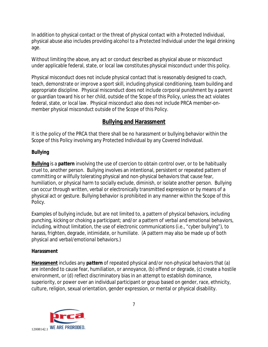In addition to physical contact or the threat of physical contact with a Protected Individual, physical abuse also includes providing alcohol to a Protected Individual under the legal drinking age.

Without limiting the above, any act or conduct described as physical abuse or misconduct under applicable federal, state, or local law constitutes physical misconduct under this policy.

Physical misconduct does not include physical contact that is reasonably designed to coach, teach, demonstrate or improve a sport skill, including physical conditioning, team building and appropriate discipline. Physical misconduct does not include corporal punishment by a parent or guardian toward his or her child, outside of the Scope of this Policy, unless the act violates federal, state, or local law. Physical misconduct also does not include PRCA member-onmember physical misconduct outside of the Scope of this Policy.

## **Bullying and Harassment**

It is the policy of the PRCA that there shall be no harassment or bullying behavior within the Scope of this Policy involving any Protected Individual by any Covered Individual.

### **Bullying**

**Bullying** is a *pattern* involving the use of coercion to obtain control over, or to be habitually cruel to, another person. Bullying involves an intentional, persistent or repeated pattern of committing or willfully tolerating physical and non-physical behaviors that cause fear, humiliation, or physical harm to socially exclude, diminish, or isolate another person. Bullying can occur through written, verbal or electronically transmitted expression or by means of a physical act or gesture. Bullying behavior is prohibited in any manner within the Scope of this Policy.

Examples of bullying include, but are not limited to, a pattern of *physical behaviors*, including punching, kicking or choking a participant; and/or a pattern of *verbal and emotional behaviors*, including, without limitation, the use of electronic communications (i.e., "cyber bullying"), to harass, frighten, degrade, intimidate, or humiliate. (A pattern may also be made up of both *physical* and *verbal/emotional* behaviors.)

### **Harassment**

**Harassment** includes any *pattern* of repeated physical and/or non-physical behaviors that (a) are intended to cause fear, humiliation, or annoyance, (b) offend or degrade, (c) create a hostile environment, or (d) reflect discriminatory bias in an attempt to establish dominance, superiority, or power over an individual participant or group based on gender, race, ethnicity, culture, religion, sexual orientation, gender expression, or mental or physical disability.

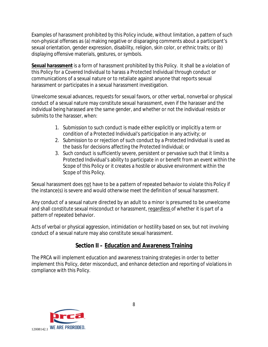Examples of harassment prohibited by this Policy include, without limitation, a pattern of such non-physical offenses as (a) making negative or disparaging comments about a participant's sexual orientation, gender expression, disability, religion, skin color, or ethnic traits; or (b) displaying offensive materials, gestures, or symbols.

**Sexual harassment** is a form of harassment prohibited by this Policy. It shall be a violation of this Policy for a Covered Individual to harass a Protected Individual through conduct or communications of a sexual nature or to retaliate against anyone that reports sexual harassment or participates in a sexual harassment investigation.

Unwelcome sexual advances, requests for sexual favors, or other verbal, nonverbal or physical conduct of a sexual nature may constitute sexual harassment, even if the harasser and the individual being harassed are the same gender, and whether or not the individual resists or submits to the harasser, when:

- 1. Submission to such conduct is made either explicitly or implicitly a term or condition of a Protected Individual's participation in any activity; or
- 2. Submission to or rejection of such conduct by a Protected Individual is used as the basis for decisions affecting the Protected Individual; or
- 3. Such conduct is sufficiently severe, persistent or pervasive such that it limits a Protected Individual's ability to participate in or benefit from an event within the Scope of this Policy or it creates a hostile or abusive environment within the Scope of this Policy.

Sexual harassment does not have to be a pattern of repeated behavior to violate this Policy if the instance(s) is severe and would otherwise meet the definition of sexual harassment.

Any conduct of a sexual nature directed by an adult to a minor is presumed to be unwelcome and shall constitute sexual misconduct or harassment, regardless of whether it is part of a pattern of repeated behavior.

Acts of verbal or physical aggression, intimidation or hostility based on sex, but not involving conduct of a sexual nature may also constitute sexual harassment.

# **Section II – Education and Awareness Training**

The PRCA will implement education and awareness training strategies in order to better implement this Policy, deter misconduct, and enhance detection and reporting of violations in compliance with this Policy.

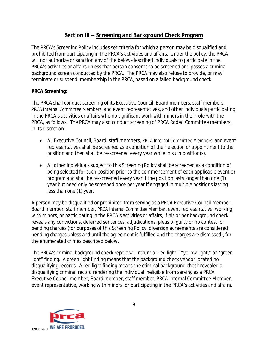## **Section III -- Screening and Background Check Program**

The PRCA's Screening Policy includes set criteria for which a person may be disqualified and prohibited from participating in the PRCA's activities and affairs. Under the policy, the PRCA will not authorize or sanction any of the below-described individuals to participate in the PRCA's activities or affairs unless that person consents to be screened and passes a criminal background screen conducted by the PRCA. The PRCA may also refuse to provide, or may terminate or suspend, membership in the PRCA, based on a failed background check.

### **PRCA Screening:**

The PRCA shall conduct screening of its Executive Council, Board members, staff members, PRCA Internal Committee Members, and event representatives, and other individuals participating in the PRCA's activities or affairs who do significant work with minors in their role with the PRCA, as follows. The PRCA may also conduct screening of PRCA Rodeo Committee members, in its discretion.

- All Executive Council, Board, staff members, PRCA Internal Committee Members, and event representatives shall be screened as a condition of their election or appointment to the position and then shall be re-screened every year while in such position(s).
- All other individuals subject to this Screening Policy shall be screened as a condition of being selected for such position prior to the commencement of each applicable event or program and shall be re-screened every year if the position lasts longer than one (1) year but need only be screened once per year if engaged in multiple positions lasting less than one (1) year.

A person may be disqualified or prohibited from serving as a PRCA Executive Council member, Board member, staff member, PRCA Internal Committee Member, event representative, working with minors, or participating in the PRCA's activities or affairs, if his or her background check reveals any convictions, deferred sentences, adjudications, pleas of guilty or no contest, or pending charges (for purposes of this Screening Policy, diversion agreements are considered pending charges unless and until the agreement is fulfilled and the charges are dismissed), for the enumerated crimes described below.

The PRCA's criminal background check report will return a "red light," "yellow light," or "green light" finding. A green light finding means that the background check vendor located no disqualifying records. A red light finding means the criminal background check revealed a disqualifying criminal record rendering the individual ineligible from serving as a PRCA Executive Council member, Board member, staff member, PRCA Internal Committee Member, event representative, working with minors, or participating in the PRCA's activities and affairs.

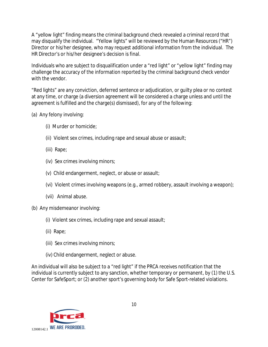A "yellow light" finding means the criminal background check revealed a criminal record that may disqualify the individual. "Yellow lights" will be reviewed by the Human Resources ("HR") Director or his/her designee, who may request additional information from the individual. The HR Director's or his/her designee's decision is final.

Individuals who are subject to disqualification under a "red light" or "yellow light" finding may challenge the accuracy of the information reported by the criminal background check vendor with the vendor.

"Red lights" are any conviction, deferred sentence or adjudication, or guilty plea or no contest at any time, or charge (a diversion agreement will be considered a charge unless and until the agreement is fulfilled and the charge(s) dismissed), for any of the following:

- (a) Any felony involving:
	- (i) Murder or homicide;
	- (ii) Violent sex crimes, including rape and sexual abuse or assault;
	- (iii) Rape;
	- (iv) Sex crimes involving minors;
	- (v) Child endangerment, neglect, or abuse or assault;
	- (vi) Violent crimes involving weapons (e.g., armed robbery, assault involving a weapon);
	- (vii) Animal abuse.
- (b) Any misdemeanor involving:
	- (i) Violent sex crimes, including rape and sexual assault;
	- (ii) Rape;
	- (iii) Sex crimes involving minors;
	- (iv) Child endangerment, neglect or abuse.

An individual will also be subject to a "red light" if the PRCA receives notification that the individual is currently subject to any sanction, whether temporary or permanent, by (1) the U.S. Center for SafeSport; or (2) another sport's governing body for Safe Sport-related violations.

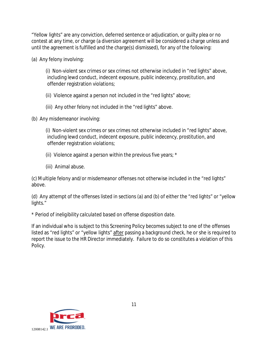"Yellow lights" are any conviction, deferred sentence or adjudication, or guilty plea or no contest at any time, or charge (a diversion agreement will be considered a charge unless and until the agreement is fulfilled and the charge(s) dismissed), for any of the following:

(a) Any felony involving:

 (i) Non-violent sex crimes or sex crimes not otherwise included in "red lights" above, including lewd conduct, indecent exposure, public indecency, prostitution, and offender registration violations;

(ii) Violence against a person not included in the "red lights" above;

(iii) Any other felony not included in the "red lights" above.

(b) Any misdemeanor involving:

 (i) Non-violent sex crimes or sex crimes not otherwise included in "red lights" above, including lewd conduct, indecent exposure, public indecency, prostitution, and offender registration violations;

(ii) Violence against a person within the previous five years; \*

(iii) Animal abuse.

(c) Multiple felony and/or misdemeanor offenses not otherwise included in the "red lights" above.

(d) Any attempt of the offenses listed in sections (a) and (b) of either the "red lights" or "yellow lights."

*\* Period of ineligibility calculated based on offense disposition date.*

If an individual who is subject to this Screening Policy becomes subject to one of the offenses listed as "red lights" or "yellow lights" after passing a background check, he or she is required to report the issue to the HR Director immediately. Failure to do so constitutes a violation of this Policy.

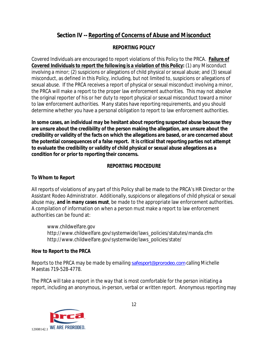# **Section IV -- Reporting of Concerns of Abuse and Misconduct**

## **REPORTING POLICY**

Covered Individuals are encouraged to report violations of this Policy to the PRCA. **Failure of Covered Individuals to report the following is a violation of this Policy:** (1) any Misconduct involving a minor; (2) suspicions or allegations of child physical or sexual abuse; and (3) sexual misconduct, as defined in this Policy, including, but not limited to, suspicions or allegations of sexual abuse. If the PRCA receives a report of physical or sexual misconduct involving a minor, the PRCA will make a report to the proper law enforcement authorities. This may not absolve the original reporter of his or her duty to report physical or sexual misconduct toward a minor to law enforcement authorities. Many states have reporting requirements, and you should determine whether you have a personal obligation to report to law enforcement authorities.

**In some cases, an individual may be hesitant about reporting suspected abuse because they are unsure about the credibility of the person making the allegation, are unsure about the credibility or validity of the facts on which the allegations are based, or are concerned about the potential consequences of a false report. It is critical that reporting parties not attempt to evaluate the credibility or validity of child physical or sexual abuse allegations as a condition for or prior to reporting their concerns.** 

## **REPORTING PROCEDURE**

### **To Whom to Report**

All reports of violations of any part of this Policy shall be made to the PRCA's HR Director or the Assistant Rodeo Administrator. Additionally, suspicions or allegations of child physical or sexual abuse may, *and in many cases must*, be made to the appropriate law enforcement authorities. A compilation of information on when a person must make a report to law enforcement authorities can be found at:

[www.childwelfare.gov](http://www.childwelfare.gov) [http://www.childwelfare.gov/systemwide/laws\\_policies/statutes/manda.cfm](http://www.childwelfare.gov/systemwide/laws_policies/statutes/manda.cfm) [http://www.childwelfare.gov/systemwide/laws\\_policies/state/](http://www.childwelfare.gov/systemwide/laws_policies/state/)

### **How to Report to the PRCA**

Reports to the PRCA may be made by emailing [safesport@prorodeo.com](mailto:safesport@prorodeo.com) calling Michelle Maestas 719-528-4778.

The PRCA will take a report in the way that is most comfortable for the person initiating a report, including an anonymous, in-person, verbal or written report. Anonymous reporting may

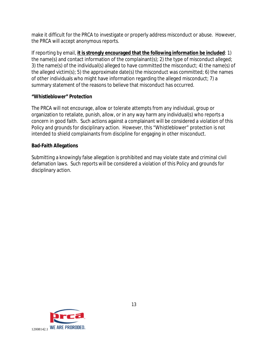make it difficult for the PRCA to investigate or properly address misconduct or abuse. However, the PRCA will accept anonymous reports.

If reporting by email, **it is strongly encouraged that the following information be included**: 1) the name(s) and contact information of the complainant(s); 2) the type of misconduct alleged; 3) the name(s) of the individual(s) alleged to have committed the misconduct; 4) the name(s) of the alleged victim(s); 5) the approximate date(s) the misconduct was committed; 6) the names of other individuals who might have information regarding the alleged misconduct; 7) a summary statement of the reasons to believe that misconduct has occurred.

#### **"Whistleblower" Protection**

The PRCA will not encourage, allow or tolerate attempts from any individual, group or organization to retaliate, punish, allow, or in any way harm any individual(s) who reports a concern in good faith. Such actions against a complainant will be considered a violation of this Policy and grounds for disciplinary action. However, this "Whistleblower" protection is not intended to shield complainants from discipline for engaging in other misconduct.

### **Bad-Faith Allegations**

Submitting a knowingly false allegation is prohibited and may violate state and criminal civil defamation laws. Such reports will be considered a violation of this Policy and grounds for disciplinary action.

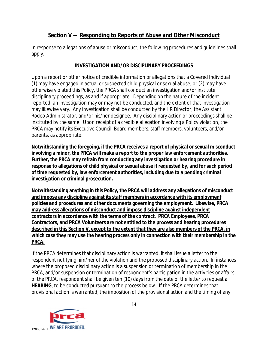## **Section V -- Responding to Reports of Abuse and Other Misconduct**

In response to allegations of abuse or misconduct, the following procedures and guidelines shall apply.

#### **INVESTIGATION AND/OR DISCIPLINARY PROCEEDINGS**

Upon a report or other notice of credible information or allegations that a Covered Individual (1) may have engaged in actual or suspected child physical or sexual abuse; or (2) may have otherwise violated this Policy, the PRCA shall conduct an investigation and/or institute disciplinary proceedings, as and if appropriate. Depending on the nature of the incident reported, an investigation may or may not be conducted, and the extent of that investigation may likewise vary. Any investigation shall be conducted by the HR Director, the Assistant Rodeo Administrator, and/or his/her designee. Any disciplinary action or proceedings shall be instituted by the same. Upon receipt of a credible allegation involving a Policy violation, the PRCA may notify its Executive Council, Board members, staff members, volunteers, and/or parents, as appropriate.

**Notwithstanding the foregoing, if the PRCA receives a report of physical or sexual misconduct involving a minor, the PRCA will make a report to the proper law enforcement authorities. Further, the PRCA may refrain from conducting any investigation or hearing procedure in response to allegations of child physical or sexual abuse if requested by, and for such period of time requested by, law enforcement authorities, including due to a pending criminal investigation or criminal prosecution.** 

**Notwithstanding anything in this Policy, the PRCA will address any allegations of misconduct and impose any discipline against its staff members in accordance with its employment policies and procedures and other documents governing the employment. Likewise, PRCA may address allegations of misconduct and impose discipline against independent contractors in accordance with the terms of the contract. PRCA Employees, PRCA Contractors, and PRCA Volunteers are not entitled to the process and hearing procedures described in this Section V, except to the extent that they are also members of the PRCA, in which case they may use the hearing process only in connection with their membership in the PRCA.**

If the PRCA determines that disciplinary action is warranted, it shall issue a letter to the respondent notifying him/her of the violation and the proposed disciplinary action. In instances where the proposed disciplinary action is a suspension or termination of membership in the PRCA, and/or suspension or termination of respondent's participation in the activities or affairs of the PRCA, respondent shall be given ten (10) days from the date of the letter to request a **HEARING**, to be conducted pursuant to the process below. If the PRCA determines that provisional action is warranted, the imposition of the provisional action and the timing of any

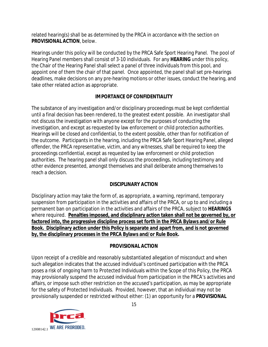related hearing(s) shall be as determined by the PRCA in accordance with the section on **PROVISIONAL ACTION**, below.

Hearings under this policy will be conducted by the PRCA Safe Sport Hearing Panel. The pool of Hearing Panel members shall consist of 3-10 individuals. For any **HEARING** under this policy, the Chair of the Hearing Panel shall select a panel of three individuals from this pool, and appoint one of them the chair of that panel. Once appointed, the panel shall set pre-hearings deadlines, make decisions on any pre-hearing motions or other issues, conduct the hearing, and take other related action as appropriate.

### **IMPORTANCE OF CONFIDENTIALITY**

The substance of any investigation and/or disciplinary proceedings must be kept confidential until a final decision has been rendered, to the greatest extent possible. An investigator shall not discuss the investigation with anyone except for the purposes of conducting the investigation, and except as requested by law enforcement or child protection authorities. Hearings will be closed and confidential, to the extent possible, other than for notification of the outcome. Participants in the hearing, including the PRCA Safe Sport Hearing Panel, alleged offender, the PRCA representative, victim, and any witnesses, shall be required to keep the proceedings confidential, except as requested by law enforcement or child protection authorities. The hearing panel shall only discuss the proceedings, including testimony and other evidence presented, amongst themselves and shall deliberate among themselves to reach a decision.

### **DISCIPLINARY ACTION**

Disciplinary action may take the form of, as appropriate, a warning, reprimand, temporary suspension from participation in the activities and affairs of the PRCA, or up to and including a permanent ban on participation in the activities and affairs of the PRCA, subject to **HEARINGS** where required. **Penalties imposed, and disciplinary action taken shall not be governed by, or factored into, the progressive discipline process set forth in the PRCA Bylaws and/or Rule Book. Disciplinary action under this Policy is separate and apart from, and is not governed by, the disciplinary processes in the PRCA Bylaws and/or Rule Book.**

### **PROVISIONAL ACTION**

Upon receipt of a credible and reasonably substantiated allegation of misconduct and when such allegation indicates that the accused individual's continued participation with the PRCA poses a risk of ongoing harm to Protected Individuals within the Scope of this Policy, the PRCA may provisionally suspend the accused individual from participation in the PRCA's activities and affairs, or impose such other restriction on the accused's participation, as may be appropriate for the safety of Protected Individuals. Provided, however, that an individual may not be provisionally suspended or restricted without either: (1) an opportunity for a **PROVISIONAL** 

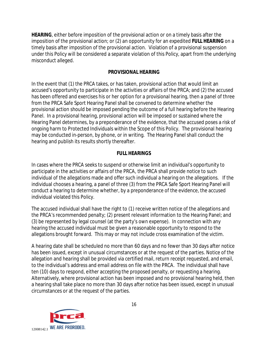**HEARING**, either before imposition of the provisional action or on a timely basis after the imposition of the provisional action; or (2) an opportunity for an expedited **FULL HEARING** on a timely basis after imposition of the provisional action. Violation of a provisional suspension under this Policy will be considered a separate violation of this Policy, apart from the underlying misconduct alleged.

#### **PROVISIONAL HEARING**

In the event that (1) the PRCA takes, or has taken, provisional action that would limit an accused's opportunity to participate in the activities or affairs of the PRCA; and (2) the accused has been offered and exercises his or her option for a provisional hearing, then a panel of three from the PRCA Safe Sport Hearing Panel shall be convened to determine whether the provisional action should be imposed pending the outcome of a full hearing before the Hearing Panel. In a provisional hearing, provisional action will be imposed or sustained where the Hearing Panel determines, by a preponderance of the evidence, that the accused poses a risk of ongoing harm to Protected Individuals within the Scope of this Policy. The provisional hearing may be conducted in-person, by phone, or in writing. The Hearing Panel shall conduct the hearing and publish its results shortly thereafter.

#### **FULL HEARINGS**

In cases where the PRCA seeks to suspend or otherwise limit an individual's opportunity to participate in the activities or affairs of the PRCA, the PRCA shall provide notice to such individual of the allegations made and offer such individual a hearing on the allegations. If the individual chooses a hearing, a panel of three (3) from the PRCA Safe Sport Hearing Panel will conduct a hearing to determine whether, by a preponderance of the evidence, the accused individual violated this Policy.

The accused individual shall have the right to (1) receive written notice of the allegations and the PRCA's recommended penalty; (2) present relevant information to the Hearing Panel; and (3) be represented by legal counsel (at the party's own expense). In connection with any hearing the accused individual must be given a reasonable opportunity to respond to the allegations brought forward. This may or may not include cross examination of the victim.

A hearing date shall be scheduled no more than 60 days and no fewer than 30 days after notice has been issued, except in unusual circumstances or at the request of the parties. Notice of the allegation and hearing shall be provided via certified mail, return receipt requested, and email, to the individual's address and email address on file with the PRCA. The individual shall have ten (10) days to respond, either accepting the proposed penalty, or requesting a hearing. Alternatively, where provisional action has been imposed and no provisional hearing held, then a hearing shall take place no more than 30 days after notice has been issued, except in unusual circumstances or at the request of the parties.